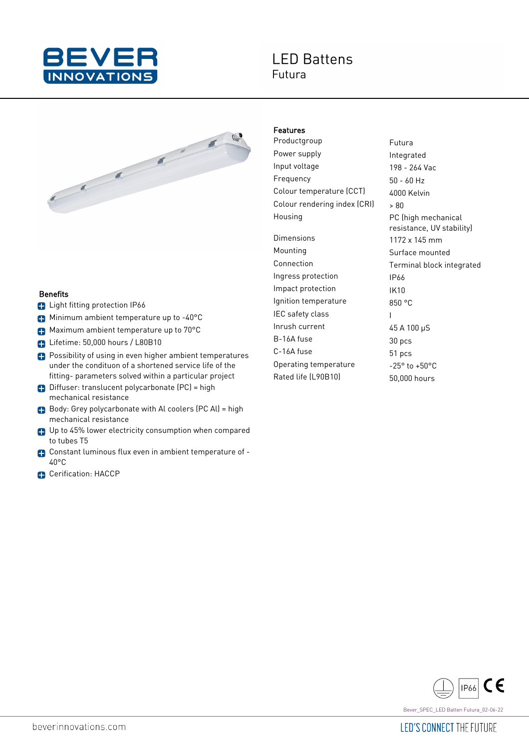

## **IFD Battens** Futura



## **Benefits**

- **C** Light fitting protection IP66
- Minimum ambient temperature up to -40°C
- **Maximum ambient temperature up to 70°C**
- **D** Lifetime: 50,000 hours / L80B10
- **Possibility of using in even higher ambient temperatures** under the condituon of a shortened service life of the fitting- parameters solved within a particular project
- Diffuser: translucent polycarbonate (PC) = high mechanical resistance
- Body: Grey polycarbonate with Al coolers (PC Al) = high mechanical resistance
- Up to 45% lower electricity consumption when compared to tubes T5
- Constant luminous flux even in ambient temperature of 40°C
- **C**erification: HACCP

## Features

Productgroup Futura Power supply **Integrated** Input voltage 198 - 264 Vac Frequency 50 - 60 Hz Colour temperature (CCT) 4000 Kelvin Colour rendering index  $|CR|$   $\rightarrow$   $80$ Housing **PC** (high mechanical Dimensions 1172 x 145 mm Mounting **Surface mounted** Connection Terminal block integrated Ingress protection IP66 Impact protection IK10 Ignition temperature 850 °C IEC safety class Theory Inrush current 45 A 100 µS B-16A fuse 30 pcs C-16A fuse 51 pcs Operating temperature  $-25^\circ$  to  $+50^\circ$ C Rated life (L90B10) 50,000 hours

resistance, UV stability)